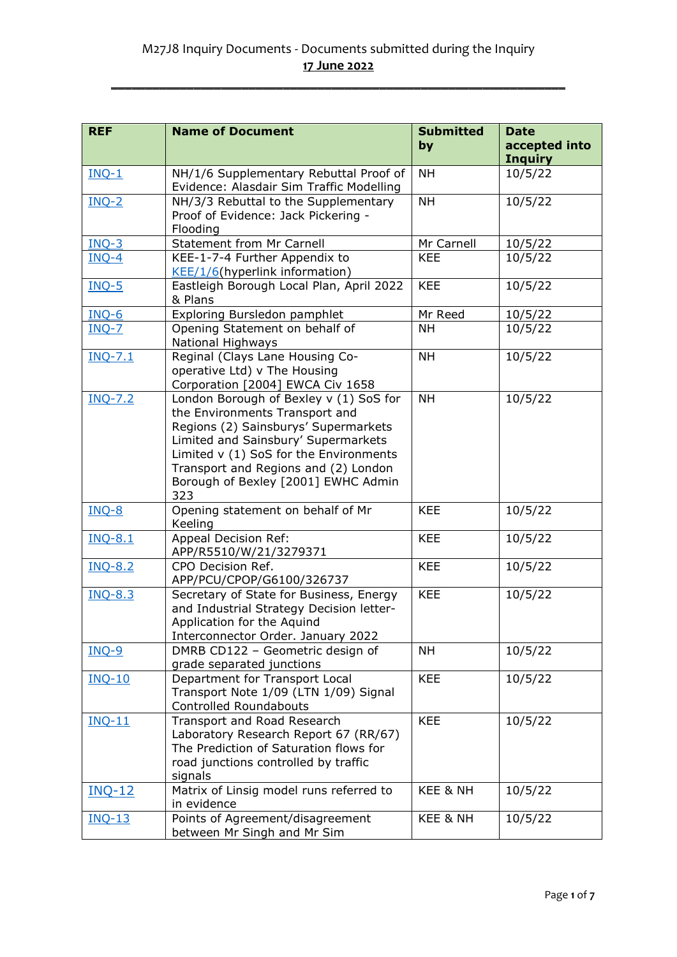| <b>REF</b>     | <b>Name of Document</b>                     | <b>Submitted</b> | <b>Date</b>    |
|----------------|---------------------------------------------|------------------|----------------|
|                |                                             | by               | accepted into  |
|                |                                             |                  | <b>Inquiry</b> |
| $INQ-1$        | NH/1/6 Supplementary Rebuttal Proof of      | <b>NH</b>        | 10/5/22        |
|                | Evidence: Alasdair Sim Traffic Modelling    |                  |                |
| $INQ-2$        | NH/3/3 Rebuttal to the Supplementary        | <b>NH</b>        | 10/5/22        |
|                | Proof of Evidence: Jack Pickering -         |                  |                |
|                | Flooding                                    |                  |                |
| $INQ-3$        | <b>Statement from Mr Carnell</b>            | Mr Carnell       | 10/5/22        |
| $INQ-4$        | KEE-1-7-4 Further Appendix to               | <b>KEE</b>       | 10/5/22        |
|                | KEE/1/6(hyperlink information)              |                  |                |
| <b>INQ-5</b>   | Eastleigh Borough Local Plan, April 2022    | <b>KEE</b>       | 10/5/22        |
|                | & Plans                                     |                  |                |
| $INQ-6$        | Exploring Bursledon pamphlet                | Mr Reed          | 10/5/22        |
| $INQ-7$        | Opening Statement on behalf of              | <b>NH</b>        | 10/5/22        |
|                | National Highways                           |                  |                |
| $INO-7.1$      | Reginal (Clays Lane Housing Co-             | <b>NH</b>        | 10/5/22        |
|                | operative Ltd) v The Housing                |                  |                |
|                | Corporation [2004] EWCA Civ 1658            |                  |                |
| <b>INQ-7.2</b> | London Borough of Bexley v (1) SoS for      | <b>NH</b>        | 10/5/22        |
|                | the Environments Transport and              |                  |                |
|                | Regions (2) Sainsburys' Supermarkets        |                  |                |
|                | Limited and Sainsbury' Supermarkets         |                  |                |
|                | Limited v (1) SoS for the Environments      |                  |                |
|                | Transport and Regions and (2) London        |                  |                |
|                | Borough of Bexley [2001] EWHC Admin         |                  |                |
|                | 323                                         |                  |                |
| $INQ-8$        | Opening statement on behalf of Mr           | <b>KEE</b>       | 10/5/22        |
|                | Keeling                                     |                  |                |
| <b>INQ-8.1</b> | <b>Appeal Decision Ref:</b>                 | <b>KEE</b>       | 10/5/22        |
|                | APP/R5510/W/21/3279371<br>CPO Decision Ref. | <b>KEE</b>       |                |
| <b>INQ-8.2</b> | APP/PCU/CPOP/G6100/326737                   |                  | 10/5/22        |
| <b>INQ-8.3</b> | Secretary of State for Business, Energy     | <b>KEE</b>       | 10/5/22        |
|                | and Industrial Strategy Decision letter-    |                  |                |
|                | Application for the Aquind                  |                  |                |
|                | Interconnector Order. January 2022          |                  |                |
| $INQ-9$        | DMRB CD122 - Geometric design of            | <b>NH</b>        | 10/5/22        |
|                | grade separated junctions                   |                  |                |
| <b>INQ-10</b>  | Department for Transport Local              | <b>KEE</b>       | 10/5/22        |
|                | Transport Note 1/09 (LTN 1/09) Signal       |                  |                |
|                | <b>Controlled Roundabouts</b>               |                  |                |
| $INO-11$       | Transport and Road Research                 | <b>KEE</b>       | 10/5/22        |
|                | Laboratory Research Report 67 (RR/67)       |                  |                |
|                | The Prediction of Saturation flows for      |                  |                |
|                | road junctions controlled by traffic        |                  |                |
|                | signals                                     |                  |                |
| <b>INQ-12</b>  | Matrix of Linsig model runs referred to     | KEE & NH         | 10/5/22        |
|                | in evidence                                 |                  |                |
| <b>INQ-13</b>  | Points of Agreement/disagreement            | KEE & NH         | 10/5/22        |
|                | between Mr Singh and Mr Sim                 |                  |                |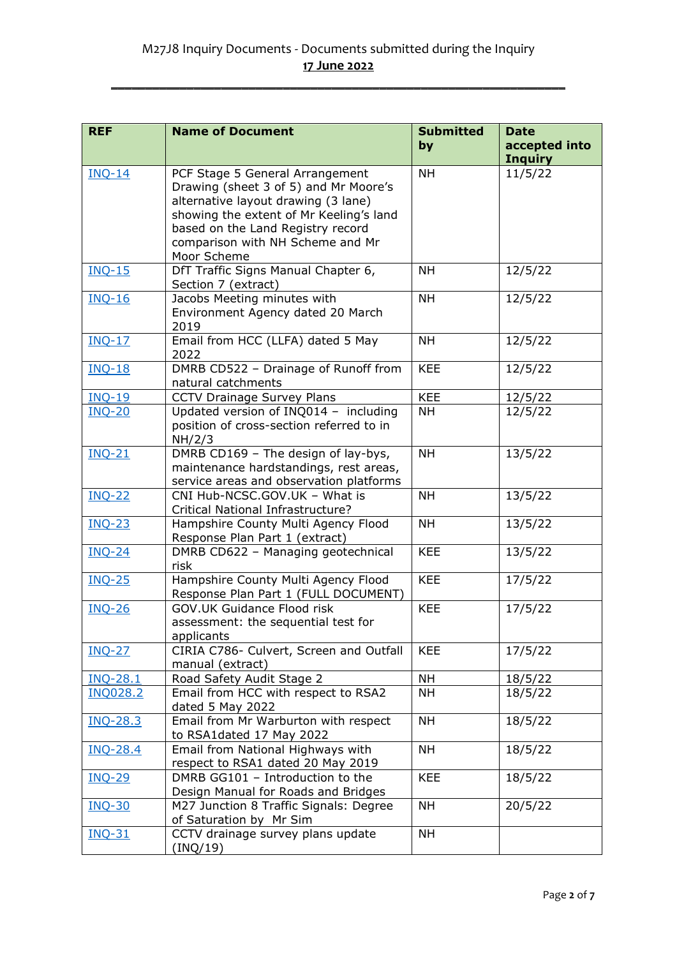| <b>REF</b>      | <b>Name of Document</b>                                                  | <b>Submitted</b> | <b>Date</b>    |
|-----------------|--------------------------------------------------------------------------|------------------|----------------|
|                 |                                                                          | by               | accepted into  |
|                 |                                                                          |                  | <b>Inquiry</b> |
| $INQ-14$        | PCF Stage 5 General Arrangement                                          | <b>NH</b>        | 11/5/22        |
|                 | Drawing (sheet 3 of 5) and Mr Moore's                                    |                  |                |
|                 | alternative layout drawing (3 lane)                                      |                  |                |
|                 | showing the extent of Mr Keeling's land                                  |                  |                |
|                 | based on the Land Registry record                                        |                  |                |
|                 | comparison with NH Scheme and Mr<br>Moor Scheme                          |                  |                |
| $INQ-15$        | DfT Traffic Signs Manual Chapter 6,                                      | <b>NH</b>        | 12/5/22        |
|                 | Section 7 (extract)                                                      |                  |                |
| $INQ-16$        | Jacobs Meeting minutes with                                              | <b>NH</b>        | 12/5/22        |
|                 | Environment Agency dated 20 March                                        |                  |                |
|                 | 2019                                                                     |                  |                |
| $INQ-17$        | Email from HCC (LLFA) dated 5 May                                        | <b>NH</b>        | 12/5/22        |
|                 | 2022                                                                     |                  |                |
| <b>INQ-18</b>   | DMRB CD522 - Drainage of Runoff from                                     | <b>KEE</b>       | 12/5/22        |
|                 | natural catchments                                                       |                  |                |
| <b>INQ-19</b>   | <b>CCTV Drainage Survey Plans</b>                                        | <b>KEE</b>       | 12/5/22        |
| <b>INQ-20</b>   | Updated version of INQ014 - including                                    | <b>NH</b>        | 12/5/22        |
|                 | position of cross-section referred to in                                 |                  |                |
|                 | NH/2/3                                                                   |                  |                |
| <b>INQ-21</b>   | DMRB CD169 - The design of lay-bys,                                      | <b>NH</b>        | 13/5/22        |
|                 | maintenance hardstandings, rest areas,                                   |                  |                |
| <b>INQ-22</b>   | service areas and observation platforms<br>CNI Hub-NCSC.GOV.UK - What is | <b>NH</b>        | 13/5/22        |
|                 | Critical National Infrastructure?                                        |                  |                |
| <b>INQ-23</b>   | Hampshire County Multi Agency Flood                                      | <b>NH</b>        | 13/5/22        |
|                 | Response Plan Part 1 (extract)                                           |                  |                |
| <b>INQ-24</b>   | DMRB CD622 - Managing geotechnical                                       | <b>KEE</b>       | 13/5/22        |
|                 | risk                                                                     |                  |                |
| <b>INQ-25</b>   | Hampshire County Multi Agency Flood                                      | <b>KEE</b>       | 17/5/22        |
|                 | Response Plan Part 1 (FULL DOCUMENT)                                     |                  |                |
| <b>INQ-26</b>   | <b>GOV.UK Guidance Flood risk</b>                                        | <b>KEE</b>       | 17/5/22        |
|                 | assessment: the sequential test for                                      |                  |                |
|                 | applicants                                                               |                  |                |
| <b>INQ-27</b>   | CIRIA C786- Culvert, Screen and Outfall<br>manual (extract)              | <b>KEE</b>       | 17/5/22        |
| <b>INQ-28.1</b> | Road Safety Audit Stage 2                                                | <b>NH</b>        | 18/5/22        |
| <b>INQ028.2</b> | Email from HCC with respect to RSA2                                      | <b>NH</b>        | 18/5/22        |
|                 | dated 5 May 2022                                                         |                  |                |
| <b>INQ-28.3</b> | Email from Mr Warburton with respect                                     | <b>NH</b>        | 18/5/22        |
|                 | to RSA1dated 17 May 2022                                                 |                  |                |
| <b>INQ-28.4</b> | Email from National Highways with                                        | <b>NH</b>        | 18/5/22        |
|                 | respect to RSA1 dated 20 May 2019                                        |                  |                |
| <b>INQ-29</b>   | DMRB GG101 - Introduction to the                                         | <b>KEE</b>       | 18/5/22        |
|                 | Design Manual for Roads and Bridges                                      |                  |                |
| <b>INQ-30</b>   | M27 Junction 8 Traffic Signals: Degree                                   | <b>NH</b>        | 20/5/22        |
|                 | of Saturation by Mr Sim                                                  |                  |                |
| <b>INQ-31</b>   | CCTV drainage survey plans update                                        | <b>NH</b>        |                |
|                 | (INQ/19)                                                                 |                  |                |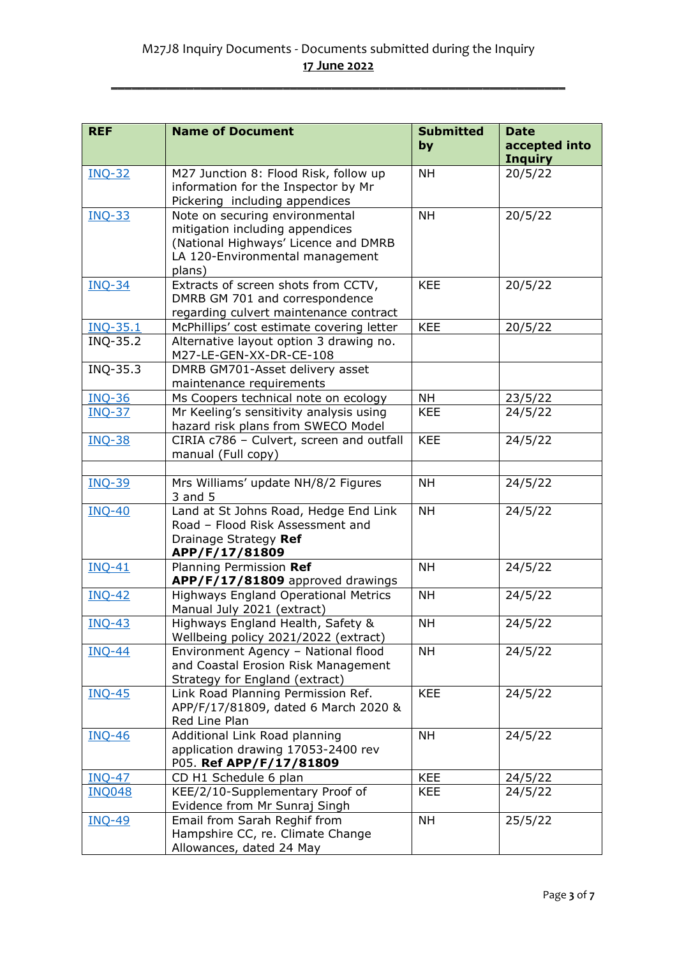| <b>REF</b>      | <b>Name of Document</b>                                                                                                                                | <b>Submitted</b> | <b>Date</b>                     |
|-----------------|--------------------------------------------------------------------------------------------------------------------------------------------------------|------------------|---------------------------------|
|                 |                                                                                                                                                        | by               | accepted into<br><b>Inquiry</b> |
| <b>INQ-32</b>   | M27 Junction 8: Flood Risk, follow up<br>information for the Inspector by Mr<br>Pickering including appendices                                         | <b>NH</b>        | 20/5/22                         |
| <b>INQ-33</b>   | Note on securing environmental<br>mitigation including appendices<br>(National Highways' Licence and DMRB<br>LA 120-Environmental management<br>plans) | <b>NH</b>        | 20/5/22                         |
| <b>INQ-34</b>   | Extracts of screen shots from CCTV,<br>DMRB GM 701 and correspondence<br>regarding culvert maintenance contract                                        | <b>KEE</b>       | 20/5/22                         |
| <b>INQ-35.1</b> | McPhillips' cost estimate covering letter                                                                                                              | <b>KEE</b>       | 20/5/22                         |
| INQ-35.2        | Alternative layout option 3 drawing no.<br>M27-LE-GEN-XX-DR-CE-108                                                                                     |                  |                                 |
| INQ-35.3        | DMRB GM701-Asset delivery asset<br>maintenance requirements                                                                                            |                  |                                 |
| <b>INQ-36</b>   | Ms Coopers technical note on ecology                                                                                                                   | <b>NH</b>        | 23/5/22                         |
| <b>INQ-37</b>   | Mr Keeling's sensitivity analysis using<br>hazard risk plans from SWECO Model                                                                          | <b>KEE</b>       | 24/5/22                         |
| <b>INQ-38</b>   | CIRIA c786 - Culvert, screen and outfall<br>manual (Full copy)                                                                                         | <b>KEE</b>       | 24/5/22                         |
|                 |                                                                                                                                                        |                  |                                 |
| <b>INQ-39</b>   | Mrs Williams' update NH/8/2 Figures<br>3 and 5                                                                                                         | <b>NH</b>        | 24/5/22                         |
| <b>INQ-40</b>   | Land at St Johns Road, Hedge End Link<br>Road - Flood Risk Assessment and<br>Drainage Strategy Ref<br>APP/F/17/81809                                   | <b>NH</b>        | 24/5/22                         |
| $INO-41$        | Planning Permission Ref<br>APP/F/17/81809 approved drawings                                                                                            | <b>NH</b>        | 24/5/22                         |
| $INQ-42$        | <b>Highways England Operational Metrics</b><br>Manual July 2021 (extract)                                                                              | <b>NH</b>        | 24/5/22                         |
| $INQ-43$        | Highways England Health, Safety &<br>Wellbeing policy 2021/2022 (extract)                                                                              | <b>NH</b>        | 24/5/22                         |
| <b>INQ-44</b>   | Environment Agency - National flood<br>and Coastal Erosion Risk Management<br>Strategy for England (extract)                                           | <b>NH</b>        | 24/5/22                         |
| <b>INQ-45</b>   | Link Road Planning Permission Ref.<br>APP/F/17/81809, dated 6 March 2020 &<br>Red Line Plan                                                            | <b>KEE</b>       | 24/5/22                         |
| <b>INQ-46</b>   | Additional Link Road planning<br>application drawing 17053-2400 rev<br>P05. Ref APP/F/17/81809                                                         | <b>NH</b>        | 24/5/22                         |
| <b>INQ-47</b>   | CD H1 Schedule 6 plan                                                                                                                                  | <b>KEE</b>       | 24/5/22                         |
| <b>INQ048</b>   | KEE/2/10-Supplementary Proof of<br>Evidence from Mr Sunraj Singh                                                                                       | <b>KEE</b>       | 24/5/22                         |
| <b>INQ-49</b>   | Email from Sarah Reghif from<br>Hampshire CC, re. Climate Change<br>Allowances, dated 24 May                                                           | <b>NH</b>        | 25/5/22                         |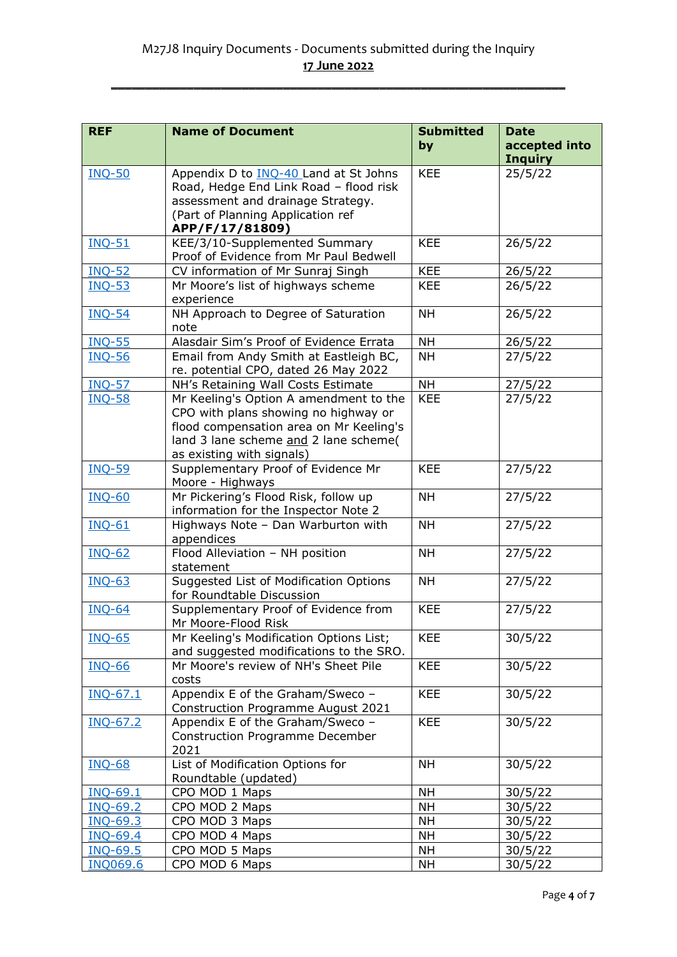| <b>REF</b>      | <b>Name of Document</b>                                                            | <b>Submitted</b> | <b>Date</b>    |
|-----------------|------------------------------------------------------------------------------------|------------------|----------------|
|                 |                                                                                    | by               | accepted into  |
|                 |                                                                                    |                  | <b>Inquiry</b> |
| <b>INQ-50</b>   | Appendix D to <b>INQ-40</b> Land at St Johns                                       | <b>KEE</b>       | 25/5/22        |
|                 | Road, Hedge End Link Road - flood risk                                             |                  |                |
|                 | assessment and drainage Strategy.                                                  |                  |                |
|                 | (Part of Planning Application ref                                                  |                  |                |
|                 | APP/F/17/81809)                                                                    | <b>KEE</b>       |                |
| <b>INQ-51</b>   | KEE/3/10-Supplemented Summary<br>Proof of Evidence from Mr Paul Bedwell            |                  | 26/5/22        |
| <b>INQ-52</b>   | CV information of Mr Sunraj Singh                                                  | <b>KEE</b>       | 26/5/22        |
| <b>INQ-53</b>   | Mr Moore's list of highways scheme                                                 | <b>KEE</b>       | 26/5/22        |
|                 | experience                                                                         |                  |                |
| <b>INQ-54</b>   | NH Approach to Degree of Saturation                                                | <b>NH</b>        | 26/5/22        |
|                 | note                                                                               |                  |                |
| <b>INQ-55</b>   | Alasdair Sim's Proof of Evidence Errata                                            | <b>NH</b>        | 26/5/22        |
| <b>INQ-56</b>   | Email from Andy Smith at Eastleigh BC,                                             | <b>NH</b>        | 27/5/22        |
|                 | re. potential CPO, dated 26 May 2022                                               |                  |                |
| <b>INQ-57</b>   | NH's Retaining Wall Costs Estimate                                                 | <b>NH</b>        | 27/5/22        |
| <b>INQ-58</b>   | Mr Keeling's Option A amendment to the                                             | <b>KEE</b>       | 27/5/22        |
|                 | CPO with plans showing no highway or                                               |                  |                |
|                 | flood compensation area on Mr Keeling's<br>land 3 lane scheme and 2 lane scheme(   |                  |                |
|                 | as existing with signals)                                                          |                  |                |
| <b>INQ-59</b>   | Supplementary Proof of Evidence Mr                                                 | <b>KEE</b>       | 27/5/22        |
|                 | Moore - Highways                                                                   |                  |                |
| <b>INQ-60</b>   | Mr Pickering's Flood Risk, follow up                                               | <b>NH</b>        | 27/5/22        |
|                 | information for the Inspector Note 2                                               |                  |                |
| <b>INQ-61</b>   | Highways Note - Dan Warburton with                                                 | <b>NH</b>        | 27/5/22        |
|                 | appendices                                                                         |                  |                |
| <b>INQ-62</b>   | Flood Alleviation - NH position                                                    | <b>NH</b>        | 27/5/22        |
|                 | statement                                                                          |                  |                |
| <b>INQ-63</b>   | Suggested List of Modification Options                                             | <b>NH</b>        | 27/5/22        |
|                 | for Roundtable Discussion                                                          |                  |                |
| <b>INQ-64</b>   | Supplementary Proof of Evidence from                                               | <b>KEE</b>       | 27/5/22        |
|                 | Mr Moore-Flood Risk                                                                |                  |                |
| <b>INQ-65</b>   | Mr Keeling's Modification Options List;<br>and suggested modifications to the SRO. | <b>KEE</b>       | 30/5/22        |
| <b>INQ-66</b>   | Mr Moore's review of NH's Sheet Pile                                               | <b>KEE</b>       | 30/5/22        |
|                 | costs                                                                              |                  |                |
| $INQ-67.1$      | Appendix E of the Graham/Sweco -                                                   | <b>KEE</b>       | 30/5/22        |
|                 | <b>Construction Programme August 2021</b>                                          |                  |                |
| INQ-67.2        | Appendix E of the Graham/Sweco -                                                   | <b>KEE</b>       | 30/5/22        |
|                 | <b>Construction Programme December</b>                                             |                  |                |
|                 | 2021                                                                               |                  |                |
| <b>INQ-68</b>   | List of Modification Options for                                                   | <b>NH</b>        | 30/5/22        |
|                 | Roundtable (updated)                                                               |                  |                |
| INQ-69.1        | CPO MOD 1 Maps                                                                     | <b>NH</b>        | 30/5/22        |
| INQ-69.2        | CPO MOD 2 Maps                                                                     | <b>NH</b>        | 30/5/22        |
| INQ-69.3        | CPO MOD 3 Maps                                                                     | <b>NH</b>        | 30/5/22        |
| <b>INQ-69.4</b> | CPO MOD 4 Maps                                                                     | <b>NH</b>        | 30/5/22        |
| INQ-69.5        | CPO MOD 5 Maps                                                                     | <b>NH</b>        | 30/5/22        |
| <b>INQ069.6</b> | CPO MOD 6 Maps                                                                     | <b>NH</b>        | 30/5/22        |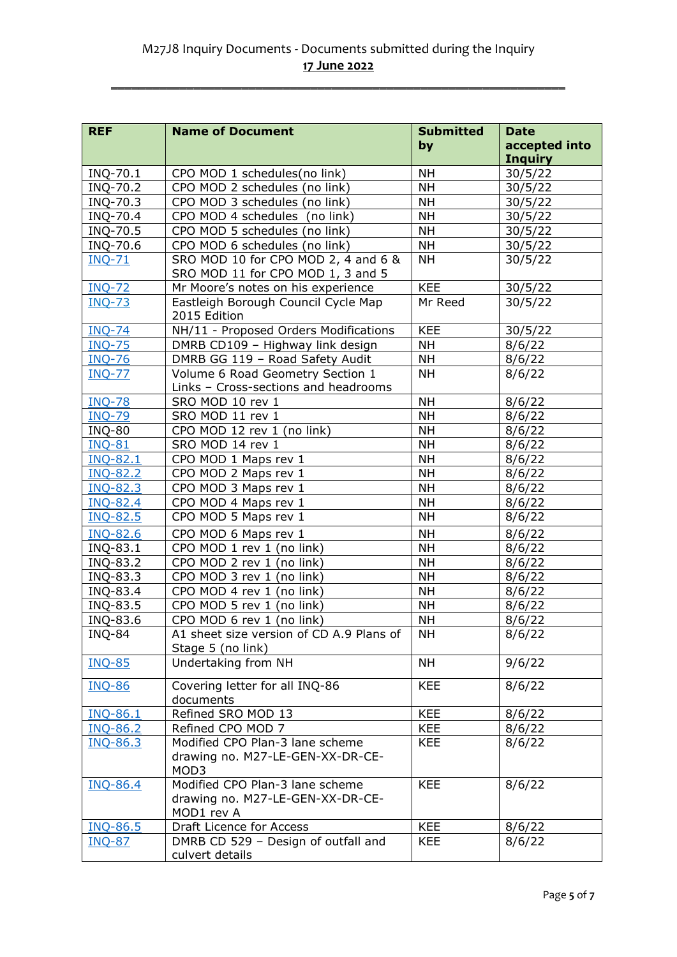| <b>REF</b>      | <b>Name of Document</b>                  | <b>Submitted</b> | <b>Date</b>    |
|-----------------|------------------------------------------|------------------|----------------|
|                 |                                          | by               | accepted into  |
|                 |                                          |                  | <b>Inquiry</b> |
| INQ-70.1        | CPO MOD 1 schedules(no link)             | <b>NH</b>        | 30/5/22        |
| INQ-70.2        | CPO MOD 2 schedules (no link)            | <b>NH</b>        | 30/5/22        |
| INQ-70.3        | CPO MOD 3 schedules (no link)            | <b>NH</b>        | 30/5/22        |
| INQ-70.4        | CPO MOD 4 schedules (no link)            | <b>NH</b>        | 30/5/22        |
| INQ-70.5        | CPO MOD 5 schedules (no link)            | <b>NH</b>        | 30/5/22        |
| INQ-70.6        | CPO MOD 6 schedules (no link)            | <b>NH</b>        | 30/5/22        |
| <b>INQ-71</b>   | SRO MOD 10 for CPO MOD 2, 4 and 6 &      | <b>NH</b>        | 30/5/22        |
|                 | SRO MOD 11 for CPO MOD 1, 3 and 5        |                  |                |
| <b>INQ-72</b>   | Mr Moore's notes on his experience       | <b>KEE</b>       | 30/5/22        |
| <b>INQ-73</b>   | Eastleigh Borough Council Cycle Map      | Mr Reed          | 30/5/22        |
|                 | 2015 Edition                             |                  |                |
| <b>INQ-74</b>   | NH/11 - Proposed Orders Modifications    | <b>KEE</b>       | 30/5/22        |
| <b>INQ-75</b>   | DMRB CD109 - Highway link design         | <b>NH</b>        | 8/6/22         |
| <b>INQ-76</b>   | DMRB GG 119 - Road Safety Audit          | <b>NH</b>        | 8/6/22         |
| <b>INQ-77</b>   | Volume 6 Road Geometry Section 1         | <b>NH</b>        | 8/6/22         |
|                 | Links - Cross-sections and headrooms     |                  |                |
| <b>INQ-78</b>   | SRO MOD 10 rev 1                         | <b>NH</b>        | 8/6/22         |
| <b>INQ-79</b>   | SRO MOD 11 rev 1                         | <b>NH</b>        | 8/6/22         |
| <b>INQ-80</b>   | CPO MOD 12 rev 1 (no link)               | <b>NH</b>        | 8/6/22         |
| <b>INQ-81</b>   | SRO MOD 14 rev 1                         | <b>NH</b>        | 8/6/22         |
| INQ-82.1        | CPO MOD 1 Maps rev 1                     | <b>NH</b>        | 8/6/22         |
| INQ-82.2        | CPO MOD 2 Maps rev 1                     | <b>NH</b>        | 8/6/22         |
| INQ-82.3        | CPO MOD 3 Maps rev 1                     | <b>NH</b>        | 8/6/22         |
| <b>INQ-82.4</b> | CPO MOD 4 Maps rev 1                     | <b>NH</b>        | 8/6/22         |
| <b>INQ-82.5</b> | CPO MOD 5 Maps rev 1                     | <b>NH</b>        | 8/6/22         |
| <b>INQ-82.6</b> | CPO MOD 6 Maps rev 1                     | <b>NH</b>        | 8/6/22         |
| INQ-83.1        | CPO MOD 1 rev 1 (no link)                | <b>NH</b>        | 8/6/22         |
| INQ-83.2        | CPO MOD 2 rev 1 (no link)                | <b>NH</b>        | 8/6/22         |
| INQ-83.3        | CPO MOD 3 rev 1 (no link)                | <b>NH</b>        | 8/6/22         |
| INQ-83.4        | CPO MOD 4 rev 1 (no link)                | <b>NH</b>        | 8/6/22         |
| INQ-83.5        | CPO MOD 5 rev 1 (no link)                | <b>NH</b>        | 8/6/22         |
| INQ-83.6        | CPO MOD 6 rev 1 (no link)                | <b>NH</b>        | 8/6/22         |
| <b>INQ-84</b>   | A1 sheet size version of CD A.9 Plans of | NΗ               | 8/6/22         |
|                 | Stage 5 (no link)                        |                  |                |
| <b>INQ-85</b>   | Undertaking from NH                      | <b>NH</b>        | 9/6/22         |
|                 |                                          |                  |                |
| <b>INQ-86</b>   | Covering letter for all INQ-86           | <b>KEE</b>       | 8/6/22         |
|                 | documents                                |                  |                |
| <b>INQ-86.1</b> | Refined SRO MOD 13                       | <b>KEE</b>       | 8/6/22         |
| <b>INQ-86.2</b> | Refined CPO MOD 7                        | <b>KEE</b>       | 8/6/22         |
| INQ-86.3        | Modified CPO Plan-3 lane scheme          | <b>KEE</b>       | 8/6/22         |
|                 | drawing no. M27-LE-GEN-XX-DR-CE-<br>MOD3 |                  |                |
| <b>INQ-86.4</b> | Modified CPO Plan-3 lane scheme          | <b>KEE</b>       | 8/6/22         |
|                 | drawing no. M27-LE-GEN-XX-DR-CE-         |                  |                |
|                 | MOD1 rev A                               |                  |                |
| <b>INQ-86.5</b> | Draft Licence for Access                 | <b>KEE</b>       | 8/6/22         |
| <b>INQ-87</b>   | DMRB CD 529 - Design of outfall and      | <b>KEE</b>       | 8/6/22         |
|                 | culvert details                          |                  |                |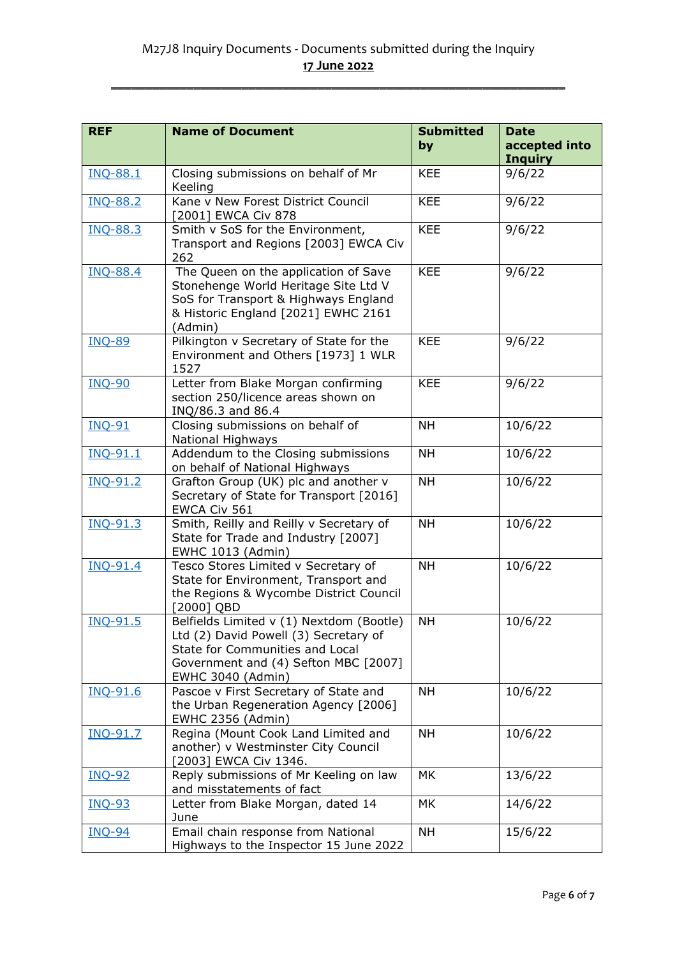| <b>REF</b>      | <b>Name of Document</b>                                                                                                                                                           | <b>Submitted</b><br>by | <b>Date</b><br>accepted into |
|-----------------|-----------------------------------------------------------------------------------------------------------------------------------------------------------------------------------|------------------------|------------------------------|
|                 |                                                                                                                                                                                   |                        | <b>Inquiry</b>               |
| <b>INQ-88.1</b> | Closing submissions on behalf of Mr<br>Keeling                                                                                                                                    | <b>KEE</b>             | 9/6/22                       |
| <b>INQ-88.2</b> | Kane v New Forest District Council<br>[2001] EWCA Civ 878                                                                                                                         | <b>KEE</b>             | 9/6/22                       |
| <b>INQ-88.3</b> | Smith v SoS for the Environment,<br>Transport and Regions [2003] EWCA Civ<br>262                                                                                                  | <b>KEE</b>             | 9/6/22                       |
| <b>INQ-88.4</b> | The Queen on the application of Save<br>Stonehenge World Heritage Site Ltd V<br>SoS for Transport & Highways England<br>& Historic England [2021] EWHC 2161<br>(Admin)            | <b>KEE</b>             | 9/6/22                       |
| <b>INQ-89</b>   | Pilkington v Secretary of State for the<br>Environment and Others [1973] 1 WLR<br>1527                                                                                            | <b>KEE</b>             | 9/6/22                       |
| <b>INQ-90</b>   | Letter from Blake Morgan confirming<br>section 250/licence areas shown on<br>INQ/86.3 and 86.4                                                                                    | <b>KEE</b>             | 9/6/22                       |
| <b>INQ-91</b>   | Closing submissions on behalf of<br>National Highways                                                                                                                             | <b>NH</b>              | 10/6/22                      |
| INQ-91.1        | Addendum to the Closing submissions<br>on behalf of National Highways                                                                                                             | <b>NH</b>              | 10/6/22                      |
| INQ-91.2        | Grafton Group (UK) plc and another v<br>Secretary of State for Transport [2016]<br>EWCA Civ 561                                                                                   | <b>NH</b>              | 10/6/22                      |
| $INQ-91.3$      | Smith, Reilly and Reilly v Secretary of<br>State for Trade and Industry [2007]<br>EWHC 1013 (Admin)                                                                               | <b>NH</b>              | 10/6/22                      |
| INQ-91.4        | Tesco Stores Limited v Secretary of<br>State for Environment, Transport and<br>the Regions & Wycombe District Council<br>[2000] QBD                                               | <b>NH</b>              | 10/6/22                      |
| <b>INQ-91.5</b> | Belfields Limited v (1) Nextdom (Bootle)<br>Ltd (2) David Powell (3) Secretary of<br>State for Communities and Local<br>Government and (4) Sefton MBC [2007]<br>EWHC 3040 (Admin) | <b>NH</b>              | 10/6/22                      |
| INQ-91.6        | Pascoe v First Secretary of State and<br>the Urban Regeneration Agency [2006]<br>EWHC 2356 (Admin)                                                                                | <b>NH</b>              | 10/6/22                      |
| INQ-91.7        | Regina (Mount Cook Land Limited and<br>another) v Westminster City Council<br>[2003] EWCA Civ 1346.                                                                               | <b>NH</b>              | 10/6/22                      |
| <b>INQ-92</b>   | Reply submissions of Mr Keeling on law<br>and misstatements of fact                                                                                                               | <b>MK</b>              | 13/6/22                      |
| <b>INQ-93</b>   | Letter from Blake Morgan, dated 14<br>June                                                                                                                                        | <b>MK</b>              | 14/6/22                      |
| <b>INQ-94</b>   | Email chain response from National<br>Highways to the Inspector 15 June 2022                                                                                                      | <b>NH</b>              | 15/6/22                      |